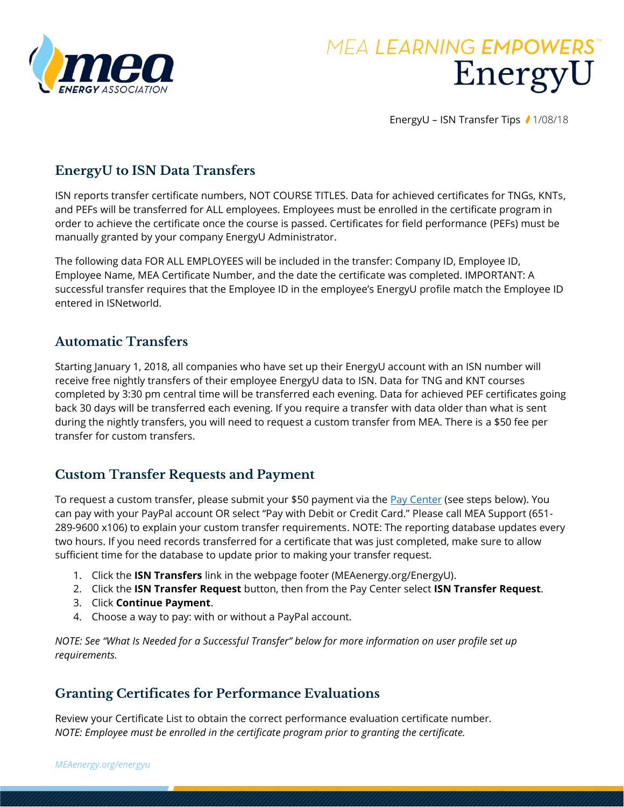

# **MEA LEARNING EMPOWERS** EnergyU

EnergyU – ISN Transfer Tips ₹ 1/08/18

## **EnergyU to ISN Data Transfers**

ISN reports transfer certificate numbers, NOT COURSE TITLES. Data for achieved certificates for TNGs, KNTs, and PEFs will be transferred for ALL employees. Employees must be enrolled in the certificate program in order to achieve the certificate once the course is passed. Certificates for field performance (PEFs) must be manually granted by your company EnergyU Administrator.

The following data FOR ALL EMPLOYEES will be included in the transfer: Company ID, Employee ID, Employee Name, MEA Certificate Number, and the date the certificate was completed. IMPORTANT: A successful transfer requires that the Employee ID in the employee's EnergyU profile match the Employee ID entered in ISNetworld.

## **Automatic Transfers**

Starting January 1, 2018, all companies who have set up their EnergyU account with an ISN number will receive free nightly transfers of their employee EnergyU data to ISN. Data for TNG and KNT courses completed by 3:30 pm central time will be transferred each evening. Data for achieved PEF certificates going back 30 days will be transferred each evening. If you require a transfer with data older than what is sent during the nightly transfers, you will need to request a custom transfer from MEA. There is a \$50 fee per transfer for custom transfers.

## **Custom Transfer Requests and Payment**

To request a custom transfer, please submit your \$50 payment via the [Pay Center](https://www.energyuniversity.org/PayCenter.html) (see steps below). You can pay with your PayPal account OR select "Pay with Debit or Credit Card." Please call MEA Support (651- 289-9600 x106) to explain your custom transfer requirements. NOTE: The reporting database updates every two hours. If you need records transferred for a certificate that was just completed, make sure to allow sufficient time for the database to update prior to making your transfer request.

- 1. Click the **ISN Transfers** link in the webpage footer (MEAenergy.org/EnergyU).
- 2. Click the **ISN Transfer Request** button, then from the Pay Center select **ISN Transfer Request**.
- 3. Click **Continue Payment**.
- 4. Choose a way to pay: with or without a PayPal account.

*NOTE: See "What Is Needed for a Successful Transfer" below for more information on user profile set up requirements.*

## **Granting Certificates for Performance Evaluations**

Review your Certificate List to obtain the correct performance evaluation certificate number. *NOTE: Employee must be enrolled in the certificate program prior to granting the certificate.*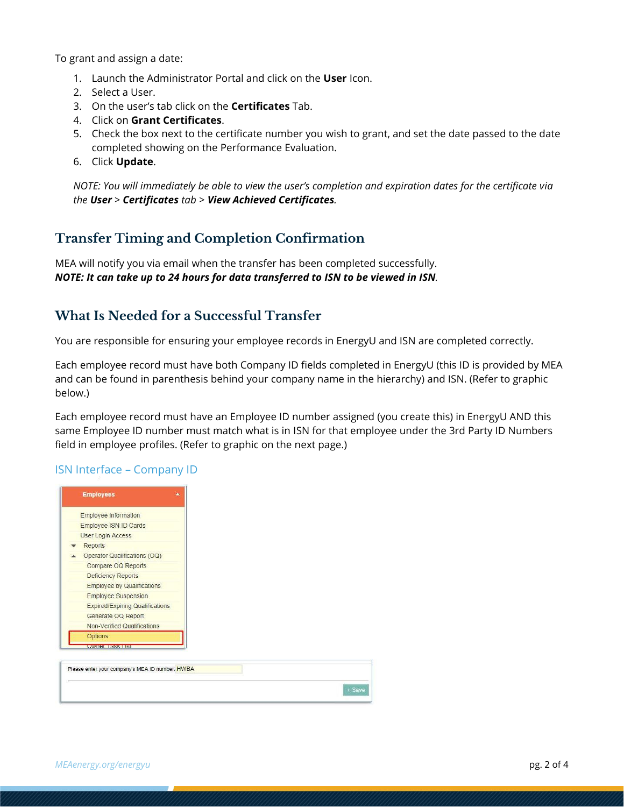To grant and assign a date:

- 1. Launch the Administrator Portal and click on the **User** Icon.
- 2. Select a User.
- 3. On the user's tab click on the **Certificates** Tab.
- 4. Click on **Grant Certificates**.
- 5. Check the box next to the certificate number you wish to grant, and set the date passed to the date completed showing on the Performance Evaluation.
- 6. Click **Update**.

*NOTE: You will immediately be able to view the user's completion and expiration dates for the certificate via the User > Certificates tab > View Achieved Certificates.*

### **Transfer Timing and Completion Confirmation**

MEA will notify you via email when the transfer has been completed successfully. *NOTE: It can take up to 24 hours for data transferred to ISN to be viewed in ISN.*

## **What Is Needed for a Successful Transfer**

You are responsible for ensuring your employee records in EnergyU and ISN are completed correctly.

Each employee record must have both Company ID fields completed in EnergyU (this ID is provided by MEA and can be found in parenthesis behind your company name in the hierarchy) and ISN. (Refer to graphic below.)

Each employee record must have an Employee ID number assigned (you create this) in EnergyU AND this same Employee ID number must match what is in ISN for that employee under the 3rd Party ID Numbers field in employee profiles. (Refer to graphic on the next page.)

#### ISN Interface – Company ID

| <b>Employee Information</b><br>Employee ISN ID Cards<br><b>User Login Access</b><br>Reports<br>Operator Qualifications (OQ)<br>Compare OQ Reports<br><b>Deficiency Reports</b><br><b>Employee by Qualifications</b><br><b>Employee Suspension</b><br><b>Expired/Expiring Qualifications</b><br>Generate OQ Report<br><b>Non-Verified Qualifications</b><br>Options<br>LUAVA EGENDISKA KUNIST |
|----------------------------------------------------------------------------------------------------------------------------------------------------------------------------------------------------------------------------------------------------------------------------------------------------------------------------------------------------------------------------------------------|
|                                                                                                                                                                                                                                                                                                                                                                                              |
|                                                                                                                                                                                                                                                                                                                                                                                              |
|                                                                                                                                                                                                                                                                                                                                                                                              |
|                                                                                                                                                                                                                                                                                                                                                                                              |
|                                                                                                                                                                                                                                                                                                                                                                                              |
|                                                                                                                                                                                                                                                                                                                                                                                              |
|                                                                                                                                                                                                                                                                                                                                                                                              |
|                                                                                                                                                                                                                                                                                                                                                                                              |
|                                                                                                                                                                                                                                                                                                                                                                                              |
|                                                                                                                                                                                                                                                                                                                                                                                              |
|                                                                                                                                                                                                                                                                                                                                                                                              |
|                                                                                                                                                                                                                                                                                                                                                                                              |
|                                                                                                                                                                                                                                                                                                                                                                                              |
|                                                                                                                                                                                                                                                                                                                                                                                              |
|                                                                                                                                                                                                                                                                                                                                                                                              |
| Please enter your company's MEA ID number: HWBA                                                                                                                                                                                                                                                                                                                                              |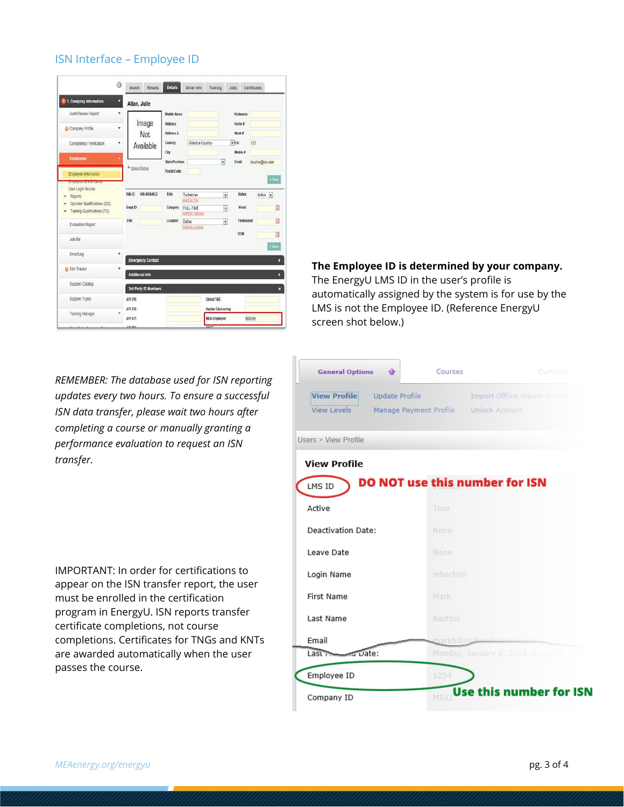|                                                                     | Ø | Search        | Results                     | <b>Details</b>           | Driver Info                    | Training                 | Jobs              | Certificates             |
|---------------------------------------------------------------------|---|---------------|-----------------------------|--------------------------|--------------------------------|--------------------------|-------------------|--------------------------|
| 1. Company Information                                              | ۷ |               | Allan, Julie                |                          |                                |                          |                   |                          |
| Audit/Review Report                                                 | ٧ |               |                             | Middle Name:             |                                |                          | Nickname:         |                          |
| Company Profile                                                     | ٠ |               | Image<br><b>Not</b>         | Address:<br>Address 2    |                                |                          | Home #<br>Work #  |                          |
| Competency Verification                                             | ٧ | Available     |                             | Country:                 | -Select a Country-             |                          | $=$ Ext           | 123                      |
| <b>Employees</b>                                                    |   |               |                             | City:<br>State/Province: |                                | $\overline{\cdot}$       | Mobile #<br>Email | bsurine@isn.com          |
| Employee Information                                                |   |               | + Upload Picture            | Postal Code:             |                                |                          |                   | $+$ Save                 |
| <b>LITTING TO A TU VOLVO</b><br>User Login Access<br><b>Reports</b> |   | <b>ISN-ID</b> | ISN-00964832                | Title:                   | Technician<br>Add/Edit Title   | $\overline{\phantom{0}}$ | Status:           | Active<br>$\overline{a}$ |
| Operator Qualifications (OQ)<br>Training Qualifications (TQ)        |   | Empl.ID:      |                             | Category.                | FULL-TIME<br>Add/Edit Category |                          | <b>Hired:</b>     | B                        |
| <b>Evaluation Report</b>                                            |   | SSN:          |                             | Location:                | Dallas<br>Add/Edit Location    | ¥                        | <b>Terminated</b> | 閚                        |
| Job Bid                                                             |   |               |                             |                          |                                |                          | DOB               |                          |
| SmartLog                                                            |   |               | <b>Emergency Contact</b>    |                          |                                |                          |                   | $+$ Save                 |
| Site Tracker                                                        | ٧ |               | <b>Additional Info</b>      |                          |                                |                          |                   |                          |
| Supplier Catalog                                                    |   |               | <b>3rd Party ID Numbers</b> |                          |                                |                          |                   |                          |
|                                                                     |   | API 510:      |                             |                          |                                | Global T&E:              |                   |                          |
| Supplier Types                                                      |   |               |                             |                          |                                |                          |                   |                          |

#### ISN Interface – Employee ID

#### **The Employee ID is determined by your company.**

The EnergyU LMS ID in the user's profile is automatically assigned by the system is for use by the LMS is not the Employee ID. (Reference EnergyU screen shot below.)

*REMEMBER: The database used for ISN reporting updates every two hours. To ensure a successful ISN data transfer, please wait two hours after completing a course or manually granting a performance evaluation to request an ISN transfer.*

IMPORTANT: In order for certifications to appear on the ISN transfer report, the user must be enrolled in the certification program in EnergyU. ISN reports transfer certificate completions, not course completions. Certificates for TNGs and KNTs are awarded automatically when the user passes the course.

| <b>General Options</b><br>습                  | Courses        | Curricula                            |
|----------------------------------------------|----------------|--------------------------------------|
| <b>View Profile</b><br><b>Update Profile</b> |                | <b>Import Offline Viewer Scores</b>  |
| <b>View Levels</b><br>Manage Payment Profile |                | <b>Unlock Account</b>                |
| Users > View Profile                         |                |                                      |
| <b>View Profile</b>                          |                |                                      |
| LMS ID                                       |                | DO NOT use this number for ISN       |
| Active                                       | True           |                                      |
| Deactivation Date:                           | None           |                                      |
| Leave Date                                   | None           |                                      |
| Login Name                                   | mbechtel       |                                      |
| <b>First Name</b>                            | Mark           |                                      |
| Last Name                                    | Bechtel        |                                      |
| Email                                        | markb@midweete |                                      |
| Last is not use:                             |                | Monday, January 8, 2018 10:26:16 All |
| Employee ID                                  | 1254           |                                      |
| Company ID                                   | MFA            | <b>Use this number for ISN</b>       |